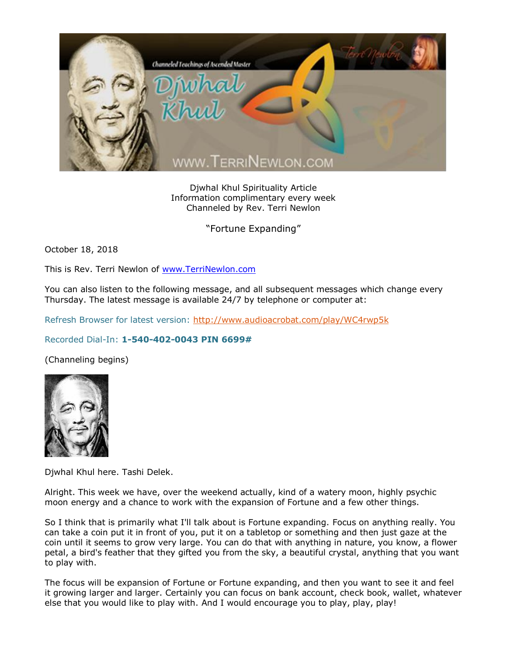

Djwhal Khul Spirituality Article Information complimentary every week Channeled by Rev. Terri Newlon

"Fortune Expanding"

October 18, 2018

This is Rev. Terri Newlon of [www.TerriNewlon.com](http://www.terrinewlon.com/)

You can also listen to the following message, and all subsequent messages which change every Thursday. The latest message is available 24/7 by telephone or computer at:

Refresh Browser for latest version:<http://www.audioacrobat.com/play/WC4rwp5k>

## Recorded Dial-In: **1-540-402-0043 PIN 6699#**

(Channeling begins)



Djwhal Khul here. Tashi Delek.

Alright. This week we have, over the weekend actually, kind of a watery moon, highly psychic moon energy and a chance to work with the expansion of Fortune and a few other things.

So I think that is primarily what I'll talk about is Fortune expanding. Focus on anything really. You can take a coin put it in front of you, put it on a tabletop or something and then just gaze at the coin until it seems to grow very large. You can do that with anything in nature, you know, a flower petal, a bird's feather that they gifted you from the sky, a beautiful crystal, anything that you want to play with.

The focus will be expansion of Fortune or Fortune expanding, and then you want to see it and feel it growing larger and larger. Certainly you can focus on bank account, check book, wallet, whatever else that you would like to play with. And I would encourage you to play, play, play!